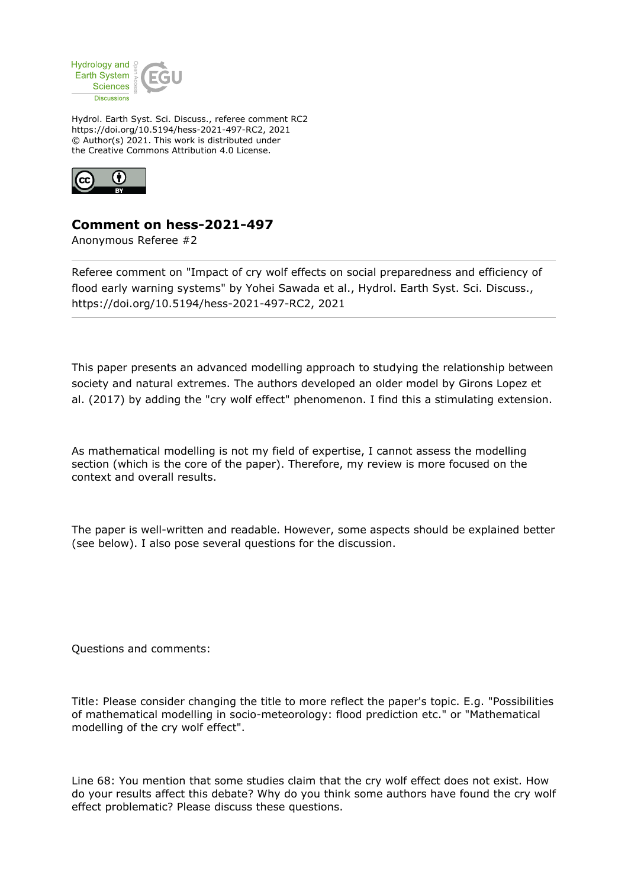

Hydrol. Earth Syst. Sci. Discuss., referee comment RC2 https://doi.org/10.5194/hess-2021-497-RC2, 2021 © Author(s) 2021. This work is distributed under the Creative Commons Attribution 4.0 License.



## **Comment on hess-2021-497**

Anonymous Referee #2

Referee comment on "Impact of cry wolf effects on social preparedness and efficiency of flood early warning systems" by Yohei Sawada et al., Hydrol. Earth Syst. Sci. Discuss., https://doi.org/10.5194/hess-2021-497-RC2, 2021

This paper presents an advanced modelling approach to studying the relationship between society and natural extremes. The authors developed an older model by Girons Lopez et al. (2017) by adding the "cry wolf effect" phenomenon. I find this a stimulating extension.

As mathematical modelling is not my field of expertise, I cannot assess the modelling section (which is the core of the paper). Therefore, my review is more focused on the context and overall results.

The paper is well-written and readable. However, some aspects should be explained better (see below). I also pose several questions for the discussion.

Questions and comments:

Title: Please consider changing the title to more reflect the paper's topic. E.g. "Possibilities of mathematical modelling in socio-meteorology: flood prediction etc." or "Mathematical modelling of the cry wolf effect".

Line 68: You mention that some studies claim that the cry wolf effect does not exist. How do your results affect this debate? Why do you think some authors have found the cry wolf effect problematic? Please discuss these questions.